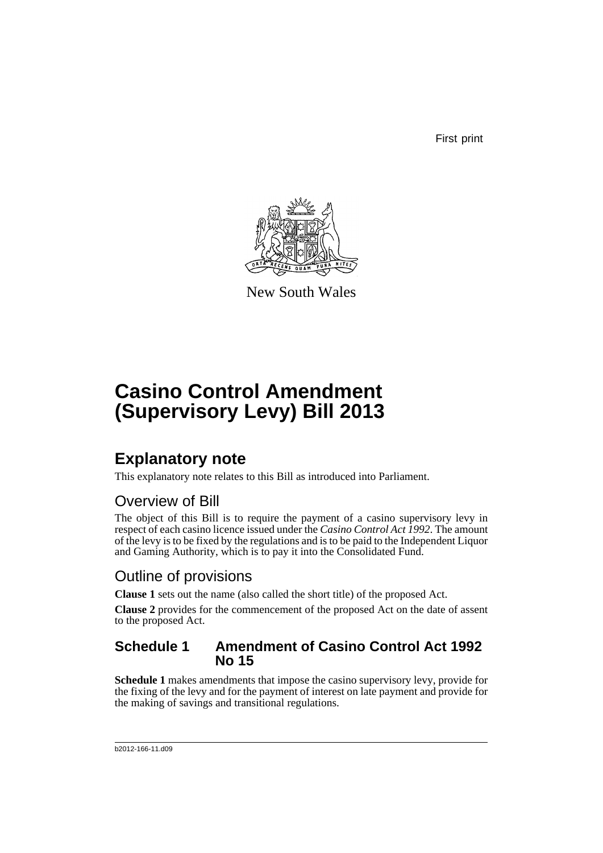First print



New South Wales

# **Casino Control Amendment (Supervisory Levy) Bill 2013**

## **Explanatory note**

This explanatory note relates to this Bill as introduced into Parliament.

### Overview of Bill

The object of this Bill is to require the payment of a casino supervisory levy in respect of each casino licence issued under the *Casino Control Act 1992*. The amount of the levy is to be fixed by the regulations and is to be paid to the Independent Liquor and Gaming Authority, which is to pay it into the Consolidated Fund.

### Outline of provisions

**Clause 1** sets out the name (also called the short title) of the proposed Act.

**Clause 2** provides for the commencement of the proposed Act on the date of assent to the proposed Act.

#### **Schedule 1 Amendment of Casino Control Act 1992 No 15**

**Schedule 1** makes amendments that impose the casino supervisory levy, provide for the fixing of the levy and for the payment of interest on late payment and provide for the making of savings and transitional regulations.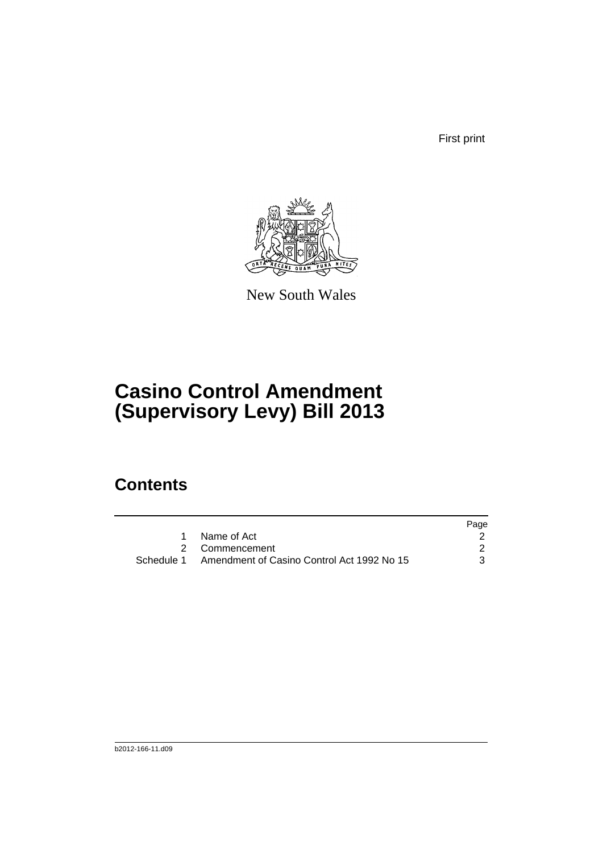First print



New South Wales

## **Casino Control Amendment (Supervisory Levy) Bill 2013**

## **Contents**

|                                                       | Page |
|-------------------------------------------------------|------|
| Name of Act                                           |      |
| 2 Commencement                                        |      |
| Schedule 1 Amendment of Casino Control Act 1992 No 15 |      |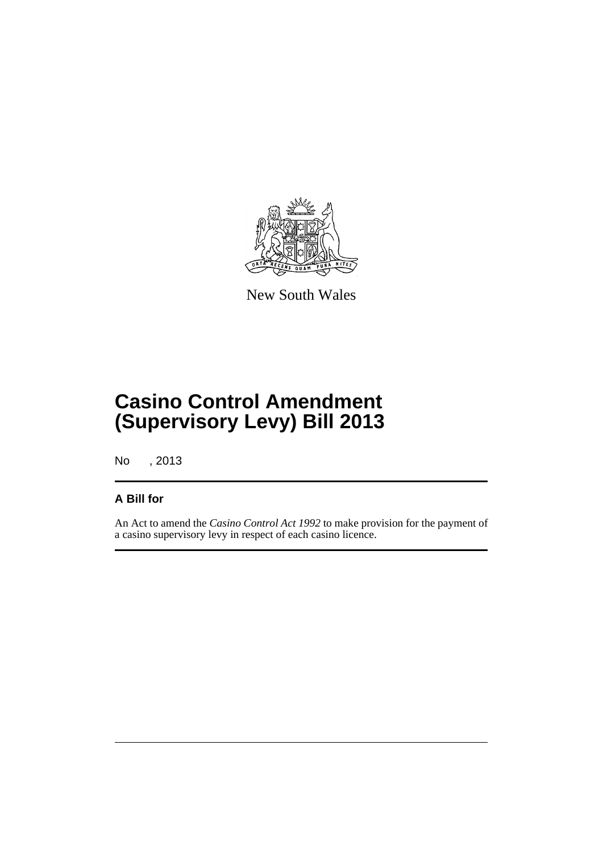

New South Wales

## **Casino Control Amendment (Supervisory Levy) Bill 2013**

No , 2013

#### **A Bill for**

An Act to amend the *Casino Control Act 1992* to make provision for the payment of a casino supervisory levy in respect of each casino licence.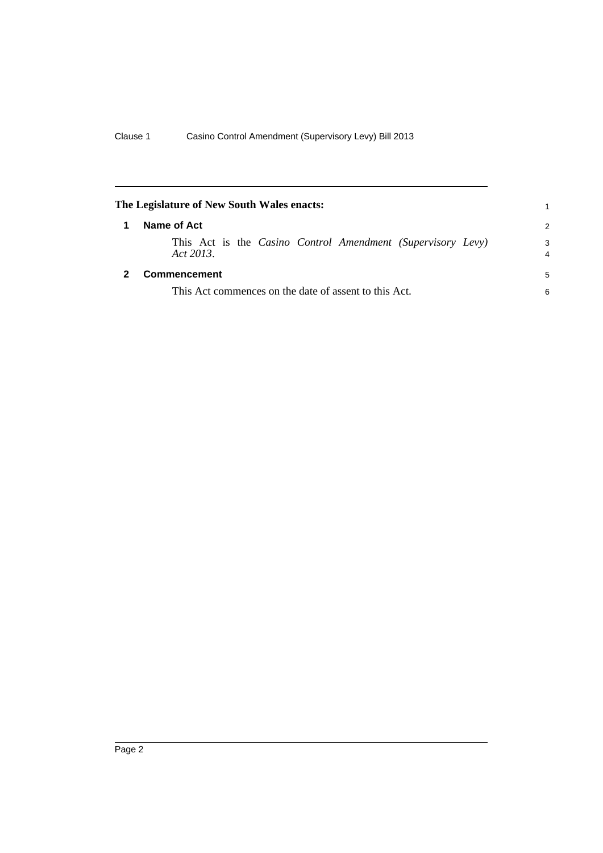<span id="page-5-1"></span><span id="page-5-0"></span>

| The Legislature of New South Wales enacts:                                                  | 1             |
|---------------------------------------------------------------------------------------------|---------------|
| Name of Act                                                                                 | $\mathcal{P}$ |
| This Act is the <i>Casino Control Amendment</i> ( <i>Supervisory Levy</i> )<br>Act $2013$ . | 3<br>4        |
| <b>Commencement</b>                                                                         | 5             |
| This Act commences on the date of assent to this Act.                                       |               |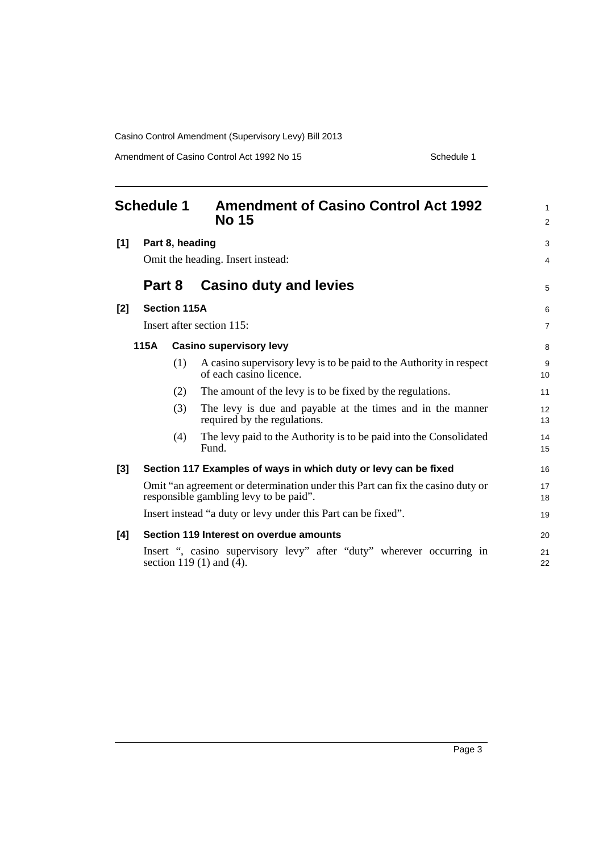Casino Control Amendment (Supervisory Levy) Bill 2013

Amendment of Casino Control Act 1992 No 15 Schedule 1

<span id="page-6-0"></span>

| <b>Schedule 1</b>                      |                                   |                     | <b>Amendment of Casino Control Act 1992</b><br><b>No 15</b>                                                              | $\mathbf{1}$<br>$\overline{2}$ |  |
|----------------------------------------|-----------------------------------|---------------------|--------------------------------------------------------------------------------------------------------------------------|--------------------------------|--|
| [1]                                    | Part 8, heading                   |                     |                                                                                                                          |                                |  |
|                                        | Omit the heading. Insert instead: |                     |                                                                                                                          |                                |  |
|                                        | Part 8                            |                     | <b>Casino duty and levies</b>                                                                                            | 5                              |  |
| $[2]$                                  |                                   | <b>Section 115A</b> |                                                                                                                          | 6                              |  |
|                                        | Insert after section 115:         |                     |                                                                                                                          |                                |  |
| 115A<br><b>Casino supervisory levy</b> |                                   |                     |                                                                                                                          | 8                              |  |
|                                        |                                   | (1)                 | A casino supervisory levy is to be paid to the Authority in respect<br>of each casino licence.                           | 9<br>10                        |  |
|                                        |                                   | (2)                 | The amount of the levy is to be fixed by the regulations.                                                                | 11                             |  |
|                                        |                                   | (3)                 | The levy is due and payable at the times and in the manner<br>required by the regulations.                               | 12<br>13                       |  |
|                                        |                                   | (4)                 | The levy paid to the Authority is to be paid into the Consolidated<br>Fund.                                              | 14<br>15                       |  |
| $[3]$                                  |                                   |                     | Section 117 Examples of ways in which duty or levy can be fixed                                                          | 16                             |  |
|                                        |                                   |                     | Omit "an agreement or determination under this Part can fix the casino duty or<br>responsible gambling levy to be paid". | 17<br>18                       |  |
|                                        |                                   |                     | Insert instead "a duty or levy under this Part can be fixed".                                                            | 19                             |  |
| [4]                                    |                                   |                     | Section 119 Interest on overdue amounts                                                                                  | 20                             |  |
|                                        |                                   |                     | Insert ", casino supervisory levy" after "duty" wherever occurring in<br>section $119(1)$ and $(4)$ .                    | 21<br>22                       |  |